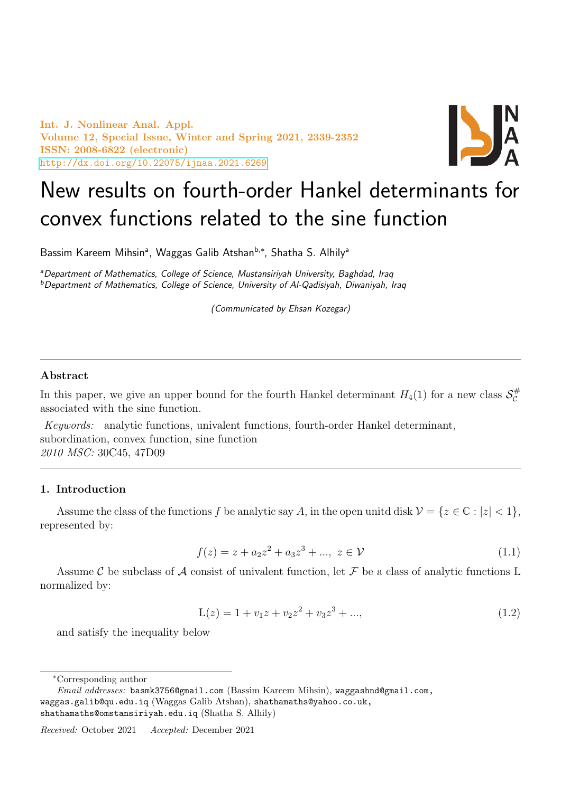Int. J. Nonlinear Anal. Appl. Volume 12, Special Issue, Winter and Spring 2021, 2339-2352 ISSN: 2008-6822 (electronic) <http://dx.doi.org/10.22075/ijnaa.2021.6269>



# New results on fourth-order Hankel determinants for convex functions related to the sine function

Bassim Kareem Mihsin<sup>a</sup>, Waggas Galib Atshan<sup>b,\*</sup>, Shatha S. Alhily<sup>a</sup>

aDepartment of Mathematics, College of Science, Mustansiriyah University, Baghdad, Iraq  $b$ Department of Mathematics, College of Science, University of Al-Qadisiyah, Diwaniyah, Iraq

(Communicated by Ehsan Kozegar)

## Abstract

In this paper, we give an upper bound for the fourth Hankel determinant  $H_4(1)$  for a new class  $\mathcal{S}_{\mathcal{C}}^{\#}$ C associated with the sine function.

Keywords: analytic functions, univalent functions, fourth-order Hankel determinant, subordination, convex function, sine function 2010 MSC: 30C45, 47D09

# 1. Introduction

Assume the class of the functions f be analytic say A, in the open unitd disk  $\mathcal{V} = \{z \in \mathbb{C} : |z| < 1\},\$ represented by:

<span id="page-0-0"></span>
$$
f(z) = z + a_2 z^2 + a_3 z^3 + \dots, \ z \in \mathcal{V}
$$
\n(1.1)

Assume C be subclass of A consist of univalent function, let F be a class of analytic functions L normalized by:

$$
L(z) = 1 + v_1 z + v_2 z^2 + v_3 z^3 + ..., \qquad (1.2)
$$

and satisfy the inequality below

<sup>∗</sup>Corresponding author

Email addresses: basmk3756@gmail.com (Bassim Kareem Mihsin), waggashnd@gmail.com, waggas.galib@qu.edu.iq (Waggas Galib Atshan), shathamaths@yahoo.co.uk, shathamaths@omstansiriyah.edu.iq (Shatha S. Alhily)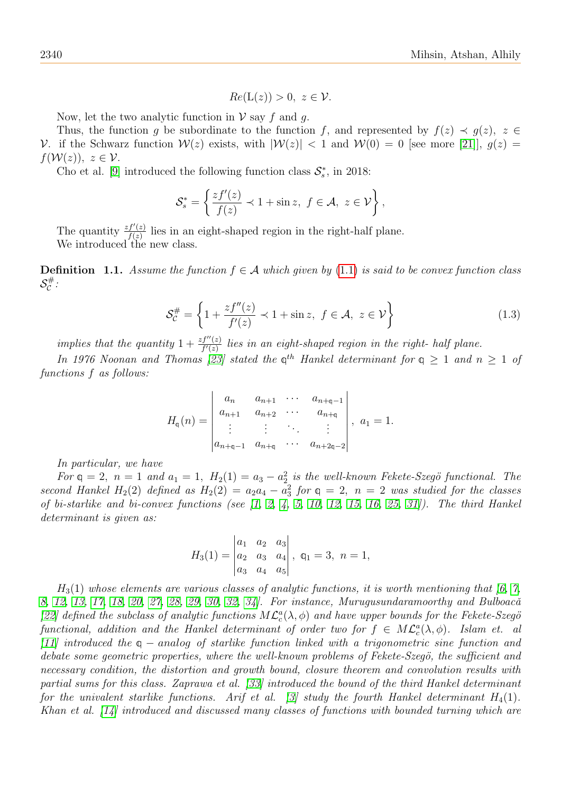$$
Re(L(z)) > 0, \ z \in \mathcal{V}.
$$

Now, let the two analytic function in  $\mathcal V$  say f and g.

Thus, the function q be subordinate to the function f, and represented by  $f(z) \prec q(z)$ ,  $z \in \mathbb{R}$ V. if the Schwarz function  $W(z)$  exists, with  $|W(z)| < 1$  and  $W(0) = 0$  [see more [\[21\]](#page-13-0)],  $q(z) =$  $f(\mathcal{W}(z)), z \in \mathcal{V}$ .

Cho et al. [\[9\]](#page-13-1) introduced the following function class  $S_s^*$ , in 2018:

$$
\mathcal{S}_s^* = \left\{ \frac{zf'(z)}{f(z)} \prec 1 + \sin z, \ f \in \mathcal{A}, \ z \in \mathcal{V} \right\},\
$$

The quantity  $\frac{zf'(z)}{f(z)}$  $f(z)$  lies in an eight-shaped region in the right-half plane. We introduced the new class.

**Definition 1.1.** Assume the function  $f \in \mathcal{A}$  which given by [\(1.1\)](#page-0-0) is said to be convex function class  $\mathcal{S}_{\mathcal{C}}^{\#}$ ・#<br>C

$$
\mathcal{S}_{\mathcal{C}}^{\#} = \left\{ 1 + \frac{zf''(z)}{f'(z)} \prec 1 + \sin z, \ f \in \mathcal{A}, \ z \in \mathcal{V} \right\}
$$
 (1.3)

implies that the quantity  $1+\frac{zf''(z)}{f'(z)}$  lies in an eight-shaped region in the right- half plane.

In 1976 Noonan and Thomas [\[23\]](#page-13-2) stated the  $\varphi^{th}$  Hankel determinant for  $q \geq 1$  and  $n \geq 1$  of functions f as follows:

$$
H_{\mathfrak{q}}(n) = \begin{vmatrix} a_n & a_{n+1} & \cdots & a_{n+\mathfrak{q}-1} \\ a_{n+1} & a_{n+2} & \cdots & a_{n+\mathfrak{q}} \\ \vdots & \vdots & \ddots & \vdots \\ a_{n+\mathfrak{q}-1} & a_{n+\mathfrak{q}} & \cdots & a_{n+2\mathfrak{q}-2} \end{vmatrix}, \quad a_1 = 1.
$$

In particular, we have

For  $q = 2$ ,  $n = 1$  and  $a_1 = 1$ ,  $H_2(1) = a_3 - a_2^2$  is the well-known Fekete-Szegö functional. The second Hankel  $H_2(2)$  defined as  $H_2(2) = a_2a_4 - a_3^2$  for  $q = 2$ ,  $n = 2$  was studied for the classes of bi-starlike and bi-convex functions (see  $\begin{bmatrix} 1, 2, 4, 5, 10, 12, 15, 16, 25, 31 \end{bmatrix}$  $\begin{bmatrix} 1, 2, 4, 5, 10, 12, 15, 16, 25, 31 \end{bmatrix}$  $\begin{bmatrix} 1, 2, 4, 5, 10, 12, 15, 16, 25, 31 \end{bmatrix}$  $\begin{bmatrix} 1, 2, 4, 5, 10, 12, 15, 16, 25, 31 \end{bmatrix}$  $\begin{bmatrix} 1, 2, 4, 5, 10, 12, 15, 16, 25, 31 \end{bmatrix}$  $\begin{bmatrix} 1, 2, 4, 5, 10, 12, 15, 16, 25, 31 \end{bmatrix}$  $\begin{bmatrix} 1, 2, 4, 5, 10, 12, 15, 16, 25, 31 \end{bmatrix}$  $\begin{bmatrix} 1, 2, 4, 5, 10, 12, 15, 16, 25, 31 \end{bmatrix}$  $\begin{bmatrix} 1, 2, 4, 5, 10, 12, 15, 16, 25, 31 \end{bmatrix}$  $\begin{bmatrix} 1, 2, 4, 5, 10, 12, 15, 16, 25, 31 \end{bmatrix}$ ). The third Hankel determinant is given as:

$$
H_3(1) = \begin{vmatrix} a_1 & a_2 & a_3 \\ a_2 & a_3 & a_4 \\ a_3 & a_4 & a_5 \end{vmatrix}, \ \mathfrak{q}_1 = 3, \ n = 1,
$$

 $H_3(1)$  whose elements are various classes of analytic functions, it is worth mentioning that [\[6,](#page-12-4) [7,](#page-13-9) [8,](#page-13-10) [12,](#page-13-4) [13,](#page-13-11) [17,](#page-13-12) [18,](#page-13-13) [20,](#page-13-14) [27,](#page-13-15) [28,](#page-13-16) [29,](#page-13-17) [30,](#page-13-18) [32,](#page-13-19) 34. For instance, Murugusundaramoorthy and Bulboacă [\[22\]](#page-13-21) defined the subclass of analytic functions  $M\mathcal{L}_c^a(\lambda,\phi)$  and have upper bounds for the Fekete-Szegö functional, addition and the Hankel determinant of order two for  $f \in M\mathcal{L}_c^a(\lambda,\phi)$ . Islam et. all [\[11\]](#page-13-22) introduced the q − analog of starlike function linked with a trigonometric sine function and debate some geometric properties, where the well-known problems of Fekete-Szegö, the sufficient and necessary condition, the distortion and growth bound, closure theorem and convolution results with partial sums for this class. Zaprawa et al. [\[33\]](#page-13-23) introduced the bound of the third Hankel determinant for the univalent starlike functions. Arif et al. [\[3\]](#page-12-5) study the fourth Hankel determinant  $H_4(1)$ . Khan et al. [\[14\]](#page-13-24) introduced and discussed many classes of functions with bounded turning which are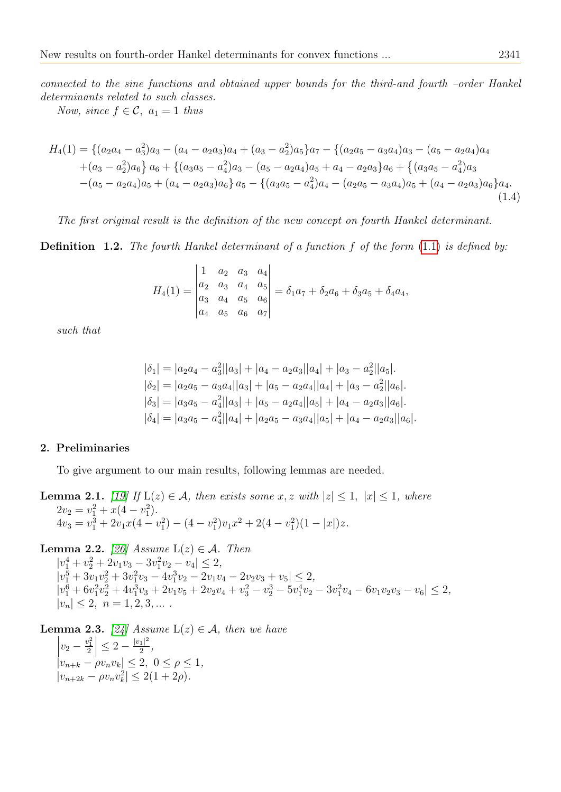connected to the sine functions and obtained upper bounds for the third-and fourth –order Hankel determinants related to such classes.

Now, since  $f \in \mathcal{C}$ ,  $a_1 = 1$  thus

$$
H_4(1) = \{(a_2a_4 - a_3^2)a_3 - (a_4 - a_2a_3)a_4 + (a_3 - a_2^2)a_5\}a_7 - \{(a_2a_5 - a_3a_4)a_3 - (a_5 - a_2a_4)a_4 + (a_3 - a_2^2)a_6\}a_6 + \{(a_3a_5 - a_4^2)a_3 - (a_5 - a_2a_4)a_5 + a_4 - a_2a_3\}a_6 + \{(a_3a_5 - a_4^2)a_3 - (a_5 - a_2a_4)a_5 + (a_4 - a_2a_3)a_6\}a_5 - \{(a_3a_5 - a_4^2)a_4 - (a_2a_5 - a_3a_4)a_5 + (a_4 - a_2a_3)a_6\}a_4.
$$
\n
$$
(1.4)
$$

The first original result is the definition of the new concept on fourth Hankel determinant.

<span id="page-2-3"></span>**Definition 1.2.** The fourth Hankel determinant of a function f of the form  $(1.1)$  is defined by:

$$
H_4(1) = \begin{vmatrix} 1 & a_2 & a_3 & a_4 \\ a_2 & a_3 & a_4 & a_5 \\ a_3 & a_4 & a_5 & a_6 \\ a_4 & a_5 & a_6 & a_7 \end{vmatrix} = \delta_1 a_7 + \delta_2 a_6 + \delta_3 a_5 + \delta_4 a_4,
$$

such that

$$
|\delta_1| = |a_2a_4 - a_3||a_3| + |a_4 - a_2a_3||a_4| + |a_3 - a_2||a_5|.
$$
  
\n
$$
|\delta_2| = |a_2a_5 - a_3a_4||a_3| + |a_5 - a_2a_4||a_4| + |a_3 - a_2||a_6|.
$$
  
\n
$$
|\delta_3| = |a_3a_5 - a_4||a_3| + |a_5 - a_2a_4||a_5| + |a_4 - a_2a_3||a_6|.
$$
  
\n
$$
|\delta_4| = |a_3a_5 - a_4||a_4| + |a_2a_5 - a_3a_4||a_5| + |a_4 - a_2a_3||a_6|.
$$

### 2. Preliminaries

To give argument to our main results, following lemmas are needed.

<span id="page-2-2"></span>**Lemma 2.1.** [\[19\]](#page-13-25) If  $L(z) \in \mathcal{A}$ , then exists some x, z with  $|z| \leq 1$ ,  $|x| \leq 1$ , where  $2v_2 = v_1^2 + x(4 - v_1^2).$  $4v_3 = v_1^3 + 2v_1x(4 - v_1^2) - (4 - v_1^2)v_1x^2 + 2(4 - v_1^2)(1 - |x|)z.$ 

<span id="page-2-0"></span>**Lemma 2.2.** [\[26\]](#page-13-26) Assume  $L(z) \in \mathcal{A}$ . Then  $|v_1^4 + v_2^2 + 2v_1v_3 - 3v_1^2v_2 - v_4| \leq 2,$  $|v_1^5 + 3v_1v_2^2 + 3v_1^2v_3 - 4v_1^3v_2 - 2v_1v_4 - 2v_2v_3 + v_5| \leq 2,$  $|v_1^6 + 6v_1^2v_2^2 + 4v_1^3v_3 + 2v_1v_5 + 2v_2v_4 + v_3^2 - v_2^3 - 5v_1^4v_2 - 3v_1^2v_4 - 6v_1v_2v_3 - v_6| \leq 2,$  $|v_n| \leq 2, \, n = 1, 2, 3, \dots$ 

<span id="page-2-1"></span>**Lemma 2.3.** [\[24\]](#page-13-27) Assume  $L(z) \in \mathcal{A}$ , then we have  $\begin{array}{c} \hline \end{array}$  $v_2 - \frac{v_1^2}{2}$  $\leq 2 - \frac{|v_1|^2}{2}$  $\frac{1}{2}$ ,  $|v_{n+k} - \rho v_n v_k| \leq 2, \ 0 \leq \rho \leq 1,$  $|v_{n+2k} - \rho v_n v_k^2| \leq 2(1+2\rho).$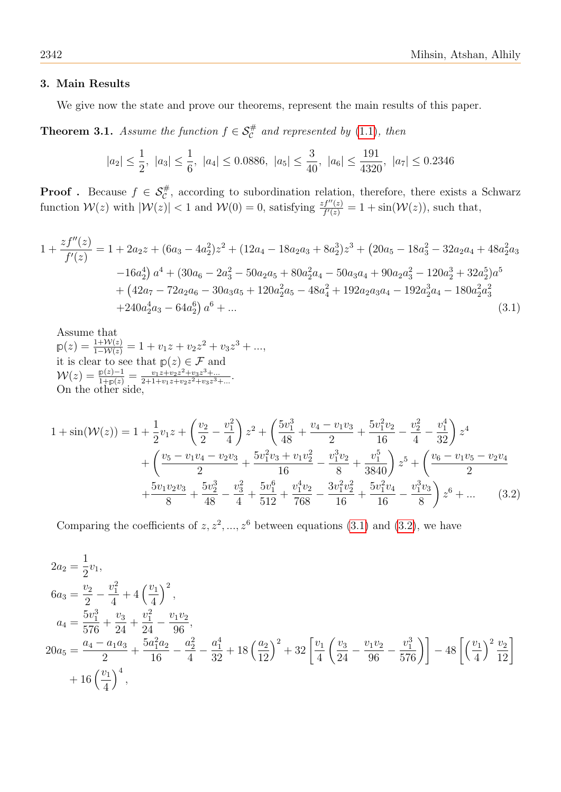### 3. Main Results

We give now the state and prove our theorems, represent the main results of this paper.

**Theorem 3.1.** Assume the function  $f \in \mathcal{S}_{\mathcal{C}}^{\#}$  and represented by [\(1.1\)](#page-0-0), then

<span id="page-3-0"></span>
$$
|a_2| \le \frac{1}{2}
$$
,  $|a_3| \le \frac{1}{6}$ ,  $|a_4| \le 0.0886$ ,  $|a_5| \le \frac{3}{40}$ ,  $|a_6| \le \frac{191}{4320}$ ,  $|a_7| \le 0.2346$ 

**Proof** . Because  $f \in \mathcal{S}_{\mathcal{C}}^{\#}$ , according to subordination relation, therefore, there exists a Schwarz function  $\mathcal{W}(z)$  with  $|\mathcal{W}(z)| < 1$  and  $\mathcal{W}(0) = 0$ , satisfying  $\frac{zf''(z)}{f'(z)} = 1 + \sin(\mathcal{W}(z))$ , such that,

$$
1 + \frac{zf''(z)}{f'(z)} = 1 + 2a_2z + (6a_3 - 4a_2^2)z^2 + (12a_4 - 18a_2a_3 + 8a_2^3)z^3 + (20a_5 - 18a_3^2 - 32a_2a_4 + 48a_2^2a_3 - 16a_2^4) a^4 + (30a_6 - 2a_3^2 - 50a_2a_5 + 80a_2^2a_4 - 50a_3a_4 + 90a_2a_3^2 - 120a_2^3 + 32a_2^5)a^5
$$
  
+  $(42a_7 - 72a_2a_6 - 30a_3a_5 + 120a_2^2a_5 - 48a_4^2 + 192a_2a_3a_4 - 192a_2^3a_4 - 180a_2^2a_3^2 + 240a_2^4a_3 - 64a_2^6) a^6 + ...$  (3.1)

Assume that  $p(z) = \frac{1+W(z)}{1-W(z)} = 1 + v_1z + v_2z^2 + v_3z^3 + ...,$ it is clear to see that  $p(z) \in \mathcal{F}$  and  $\mathcal{W}(z) = \frac{\mathbb{p}(z)-1}{1+\mathbb{p}(z)} = \frac{v_1z+v_2z^2+v_3z^3+...}{2+1+v_1z+v_2z^2+v_3z^3-}$  $\frac{v_1z+v_2z^2+v_3z^3+...}{2+1+v_1z+v_2z^2+v_3z^3+...}$ On the other side,

$$
1 + \sin(W(z)) = 1 + \frac{1}{2}v_1z + \left(\frac{v_2}{2} - \frac{v_1^2}{4}\right)z^2 + \left(\frac{5v_1^3}{48} + \frac{v_4 - v_1v_3}{2} + \frac{5v_1^2v_2}{16} - \frac{v_2^2}{4} - \frac{v_1^4}{32}\right)z^4
$$
  
+ 
$$
\left(\frac{v_5 - v_1v_4 - v_2v_3}{2} + \frac{5v_1^2v_3 + v_1v_2^2}{16} - \frac{v_1^3v_2}{8} + \frac{v_1^5}{3840}\right)z^5 + \left(\frac{v_6 - v_1v_5 - v_2v_4}{2} + \frac{5v_1v_2v_3}{8} + \frac{5v_2^3}{48} - \frac{v_3^2}{4} + \frac{5v_1^6}{512} + \frac{v_1^4v_2}{768} - \frac{3v_1^2v_2^2}{16} + \frac{5v_1^2v_4}{16} - \frac{v_1^3v_3}{8}\right)z^6 + \dots
$$
 (3.2)

<span id="page-3-1"></span>Comparing the coefficients of  $z, z^2, ..., z^6$  between equations [\(3.1\)](#page-3-0) and [\(3.2\)](#page-3-1), we have

$$
2a_2 = \frac{1}{2}v_1,
$$
  
\n
$$
6a_3 = \frac{v_2}{2} - \frac{v_1^2}{4} + 4\left(\frac{v_1}{4}\right)^2,
$$
  
\n
$$
a_4 = \frac{5v_1^3}{576} + \frac{v_3}{24} + \frac{v_1^2}{24} - \frac{v_1v_2}{96},
$$
  
\n
$$
20a_5 = \frac{a_4 - a_1a_3}{2} + \frac{5a_1^2a_2}{16} - \frac{a_2^2}{4} - \frac{a_1^4}{32} + 18\left(\frac{a_2}{12}\right)^2 + 32\left[\frac{v_1}{4}\left(\frac{v_3}{24} - \frac{v_1v_2}{96} - \frac{v_1^3}{576}\right)\right] - 48\left[\left(\frac{v_1}{4}\right)^2 \frac{v_2}{12}\right]
$$
  
\n
$$
+ 16\left(\frac{v_1}{4}\right)^4,
$$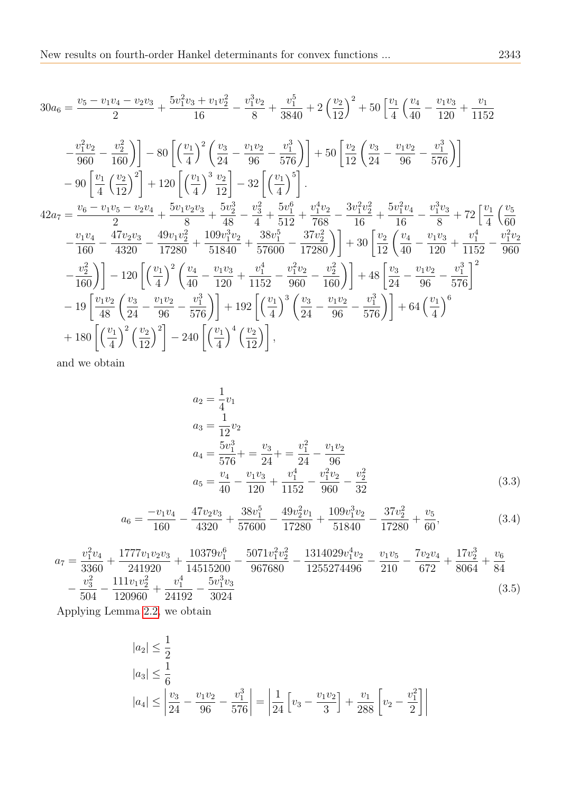$$
30a_6 = \frac{v_5 - v_1v_4 - v_2v_3}{2} + \frac{5v_1^2v_3 + v_1v_2^2}{16} - \frac{v_1^3v_2}{8} + \frac{v_1^5}{3840} + 2\left(\frac{v_2}{12}\right)^2 + 50\left[\frac{v_1}{4}\left(\frac{v_4}{40} - \frac{v_1v_3}{120} + \frac{v_1}{1152}\right)\right]
$$
  
\n
$$
-\frac{v_1^2v_2}{960} - \frac{v_2^2}{160}\right) - 80\left[\left(\frac{v_1}{4}\right)^2 \left(\frac{v_3}{24} - \frac{v_1v_2}{96} - \frac{v_1^3}{576}\right)\right] + 50\left[\frac{v_2}{12}\left(\frac{v_3}{24} - \frac{v_1v_2}{96} - \frac{v_1^3}{576}\right)\right]
$$
  
\n
$$
- 90\left[\frac{v_1}{4}\left(\frac{v_2}{12}\right)^2\right] + 120\left[\left(\frac{v_1}{4}\right)^3 \frac{v_2}{12}\right] - 32\left[\left(\frac{v_1}{4}\right)^5\right].
$$
  
\n
$$
42a_7 = \frac{v_6 - v_1v_5 - v_2v_4}{2} + \frac{5v_1v_2v_3}{8} + \frac{5v_2^3}{48} - \frac{v_3^2}{4} + \frac{5v_1^6}{512} + \frac{v_1^4v_2}{768} - \frac{3v_1^2v_2^2}{16} + \frac{5v_1^2v_4}{16} - \frac{v_1^3v_3}{8} + 72\left[\frac{v_1}{4}\left(\frac{v_5}{60} - \frac{v_1v_4}{160} - \frac{47v_2v_3}{4320} - \frac{49v_1v_2^2}{17280} + \frac{109v_1^3v_2}{57600} + \frac{38v_1^5}{57600} - \frac{37v_2^2}{17280}\right)\right] + 30\left[\frac{v_2}{12}\left(\frac{v_4}{
$$

and we obtain

<span id="page-4-0"></span>
$$
a_2 = \frac{1}{4}v_1
$$
  
\n
$$
a_3 = \frac{1}{12}v_2
$$
  
\n
$$
a_4 = \frac{5v_1^3}{576} + \frac{v_3}{24} + \frac{v_1^2}{24} - \frac{v_1v_2}{96}
$$
  
\n
$$
a_5 = \frac{v_4}{40} - \frac{v_1v_3}{120} + \frac{v_1^4}{1152} - \frac{v_1^2v_2}{960} - \frac{v_2^2}{32}
$$
\n(3.3)

$$
a_6 = \frac{-v_1v_4}{160} - \frac{47v_2v_3}{4320} + \frac{38v_1^5}{57600} - \frac{49v_2^2v_1}{17280} + \frac{109v_1^3v_2}{51840} - \frac{37v_2^2}{17280} + \frac{v_5}{60},
$$
\n(3.4)

$$
a_7 = \frac{v_1^2 v_4}{3360} + \frac{1777 v_1 v_2 v_3}{241920} + \frac{10379 v_1^6}{14515200} - \frac{5071 v_1^2 v_2^2}{967680} - \frac{1314029 v_1^4 v_2}{1255274496} - \frac{v_1 v_5}{210} - \frac{7 v_2 v_4}{672} + \frac{17 v_2^3}{8064} + \frac{v_6}{84} - \frac{v_3^2}{504} - \frac{111 v_1 v_2^2}{120960} + \frac{v_1^4}{24192} - \frac{5 v_1^3 v_3}{3024}
$$
\n
$$
(3.5)
$$

Applying Lemma [2.2,](#page-2-0) we obtain

$$
|a_2| \le \frac{1}{2}
$$
  
\n
$$
|a_3| \le \frac{1}{6}
$$
  
\n
$$
|a_4| \le \left| \frac{v_3}{24} - \frac{v_1 v_2}{96} - \frac{v_1^3}{576} \right| = \left| \frac{1}{24} \left[ v_3 - \frac{v_1 v_2}{3} \right] + \frac{v_1}{288} \left[ v_2 - \frac{v_1^2}{2} \right] \right|
$$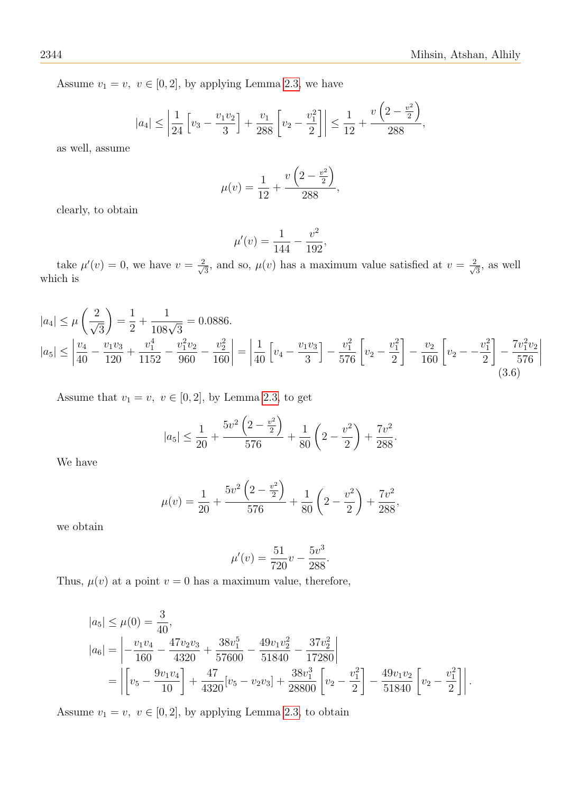Assume  $v_1 = v$ ,  $v \in [0, 2]$ , by applying Lemma [2.3,](#page-2-1) we have

$$
|a_4| \le \left|\frac{1}{24} \left[v_3 - \frac{v_1 v_2}{3}\right] + \frac{v_1}{288} \left[v_2 - \frac{v_1^2}{2}\right]\right| \le \frac{1}{12} + \frac{v\left(2 - \frac{v^2}{2}\right)}{288},
$$

as well, assume

$$
\mu(v) = \frac{1}{12} + \frac{v\left(2 - \frac{v^2}{2}\right)}{288},
$$

clearly, to obtain

$$
\mu'(v) = \frac{1}{144} - \frac{v^2}{192},
$$

take  $\mu'(v) = 0$ , we have  $v = \frac{2}{\sqrt{3}}$  $\frac{d}{3}$ , and so,  $\mu(v)$  has a maximum value satisfied at  $v = \frac{2}{\sqrt{3}}$  $\frac{2}{3}$ , as well which is

$$
|a_4| \le \mu \left(\frac{2}{\sqrt{3}}\right) = \frac{1}{2} + \frac{1}{108\sqrt{3}} = 0.0886.
$$
  
\n
$$
|a_5| \le \left|\frac{v_4}{40} - \frac{v_1v_3}{120} + \frac{v_1^4}{1152} - \frac{v_1^2v_2}{960} - \frac{v_2^2}{160}\right| = \left|\frac{1}{40}\left[v_4 - \frac{v_1v_3}{3}\right] - \frac{v_1^2}{576}\left[v_2 - \frac{v_1^2}{2}\right] - \frac{v_2}{160}\left[v_2 - -\frac{v_1^2}{2}\right] - \frac{7v_1^2v_2}{576}\right|
$$
\n(3.6)

Assume that  $v_1 = v$ ,  $v \in [0, 2]$ , by Lemma [2.3,](#page-2-1) to get

$$
|a_5| \le \frac{1}{20} + \frac{5v^2\left(2 - \frac{v^2}{2}\right)}{576} + \frac{1}{80}\left(2 - \frac{v^2}{2}\right) + \frac{7v^2}{288}.
$$

We have

$$
\mu(v) = \frac{1}{20} + \frac{5v^2\left(2 - \frac{v^2}{2}\right)}{576} + \frac{1}{80}\left(2 - \frac{v^2}{2}\right) + \frac{7v^2}{288},
$$

we obtain

$$
\mu'(v) = \frac{51}{720}v - \frac{5v^3}{288}.
$$

Thus,  $\mu(v)$  at a point  $v = 0$  has a maximum value, therefore,

$$
|a_5| \le \mu(0) = \frac{3}{40},
$$
  
\n
$$
|a_6| = \left| -\frac{v_1 v_4}{160} - \frac{47 v_2 v_3}{4320} + \frac{38 v_1^5}{57600} - \frac{49 v_1 v_2^2}{51840} - \frac{37 v_2^2}{17280} \right|
$$
  
\n
$$
= \left| \left[ v_5 - \frac{9 v_1 v_4}{10} \right] + \frac{47}{4320} [v_5 - v_2 v_3] + \frac{38 v_1^3}{28800} \left[ v_2 - \frac{v_1^2}{2} \right] - \frac{49 v_1 v_2}{51840} \left[ v_2 - \frac{v_1^2}{2} \right] \right|.
$$

Assume  $v_1 = v$ ,  $v \in [0, 2]$ , by applying Lemma [2.3,](#page-2-1) to obtain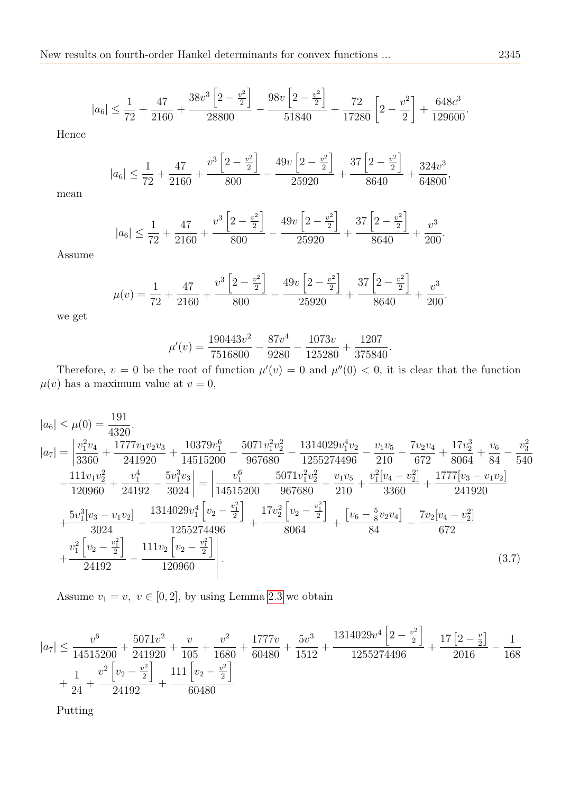$$
|a_6| \le \frac{1}{72} + \frac{47}{2160} + \frac{38v^3 \left[2 - \frac{v^2}{2}\right]}{28800} - \frac{98v \left[2 - \frac{v^2}{2}\right]}{51840} + \frac{72}{17280} \left[2 - \frac{v^2}{2}\right] + \frac{648c^3}{129600}
$$

Hence

$$
|a_6| \le \frac{1}{72} + \frac{47}{2160} + \frac{v^3 \left[2 - \frac{v^2}{2}\right]}{800} - \frac{49v \left[2 - \frac{v^2}{2}\right]}{25920} + \frac{37 \left[2 - \frac{v^2}{2}\right]}{8640} + \frac{324v^3}{64800},
$$

mean

$$
|a_6| \le \frac{1}{72} + \frac{47}{2160} + \frac{v^3 \left[2 - \frac{v^2}{2}\right]}{800} - \frac{49v \left[2 - \frac{v^2}{2}\right]}{25920} + \frac{37 \left[2 - \frac{v^2}{2}\right]}{8640} + \frac{v^3}{200}.
$$

Assume

$$
\mu(v) = \frac{1}{72} + \frac{47}{2160} + \frac{v^3 \left[2 - \frac{v^2}{2}\right]}{800} - \frac{49v \left[2 - \frac{v^2}{2}\right]}{25920} + \frac{37 \left[2 - \frac{v^2}{2}\right]}{8640} + \frac{v^3}{200}.
$$

we get

$$
\mu'(v) = \frac{190443v^2}{7516800} - \frac{87v^4}{9280} - \frac{1073v}{125280} + \frac{1207}{375840}.
$$

Therefore,  $v = 0$  be the root of function  $\mu'(v) = 0$  and  $\mu''(0) < 0$ , it is clear that the function  $\mu(v)$  has a maximum value at  $v = 0$ ,

$$
|a_6| \le \mu(0) = \frac{191}{4320}.
$$
  
\n
$$
|a_7| = \left| \frac{v_1^2 v_4}{3360} + \frac{1777 v_1 v_2 v_3}{241920} + \frac{10379 v_1^6}{14515200} - \frac{5071 v_1^2 v_2^2}{967680} - \frac{1314029 v_1^4 v_2}{1255274496} - \frac{v_1 v_5}{210} - \frac{7 v_2 v_4}{672} + \frac{17 v_2^3}{8064} + \frac{v_6}{84} - \frac{v_3^2}{540} \right|
$$
  
\n
$$
- \frac{111 v_1 v_2^2}{120960} + \frac{v_1^4}{24192} - \frac{5 v_1^3 v_3}{3024} \right| = \left| \frac{v_1^6}{14515200} - \frac{5071 v_1^2 v_2^2}{967680} - \frac{v_1 v_5}{210} + \frac{v_1^2 [v_4 - v_2^2]}{3360} + \frac{1777 [v_3 - v_1 v_2]}{241920} \right|
$$
  
\n
$$
+ \frac{5 v_1^3 [v_3 - v_1 v_2]}{3024} - \frac{1314029 v_1^4 [v_2 - \frac{v_1^2}{2}]}{1255274496} + \frac{17 v_2^2 [v_2 - \frac{v_1^2}{2}]}{8064} + \frac{[v_6 - \frac{5}{8} v_2 v_4]}{84} - \frac{7 v_2 [v_4 - v_2^2]}{672}
$$
  
\n
$$
+ \frac{v_1^2 [v_2 - \frac{v_1^2}{2}]}{24192} - \frac{111 v_2 [v_2 - \frac{v_1^2}{2}]}{120960} \right|.
$$
  
\n(3.7)

Assume  $v_1 = v, v \in [0, 2]$ , by using Lemma [2.3](#page-2-1) we obtain

$$
|a_7| \le \frac{v^6}{14515200} + \frac{5071v^2}{241920} + \frac{v}{105} + \frac{v^2}{1680} + \frac{1777v}{60480} + \frac{5v^3}{1512} + \frac{1314029v^4 \left[2 - \frac{v^2}{2}\right]}{1255274496} + \frac{17 \left[2 - \frac{v}{2}\right]}{2016} - \frac{1}{168} + \frac{1}{24} + \frac{v^2 \left[v_2 - \frac{v^2}{2}\right]}{24192} + \frac{111 \left[v_2 - \frac{v^2}{2}\right]}{60480}
$$

Putting

.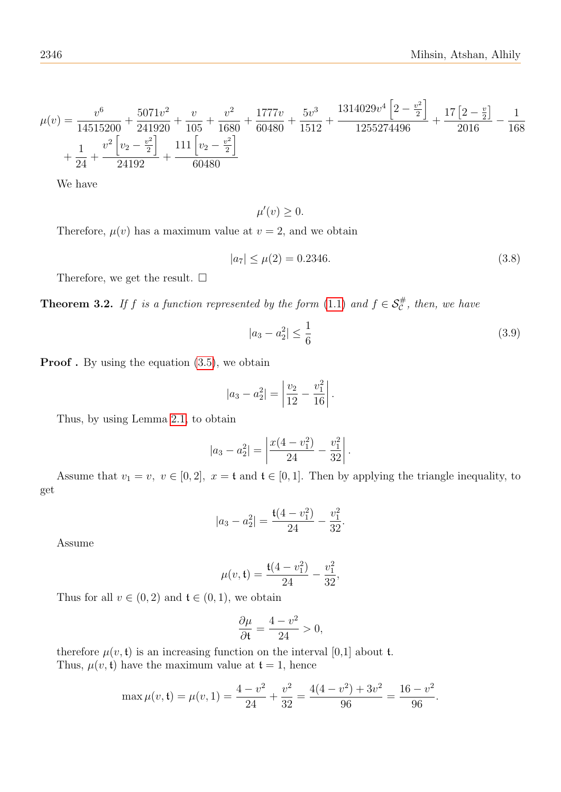$$
\mu(v) = \frac{v^6}{14515200} + \frac{5071v^2}{241920} + \frac{v}{105} + \frac{v^2}{1680} + \frac{1777v}{60480} + \frac{5v^3}{1512} + \frac{1314029v^4 \left[2 - \frac{v^2}{2}\right]}{1255274496} + \frac{17\left[2 - \frac{v}{2}\right]}{2016} - \frac{1}{1680} + \frac{1}{24} + \frac{v^2 \left[v_2 - \frac{v^2}{2}\right]}{24192} + \frac{111\left[v_2 - \frac{v^2}{2}\right]}{60480}
$$

We have

 $\mu'(v) \geq 0.$ 

Therefore,  $\mu(v)$  has a maximum value at  $v = 2$ , and we obtain

$$
|a_7| \le \mu(2) = 0.2346. \tag{3.8}
$$

h

Therefore, we get the result.  $\square$ 

**Theorem 3.2.** If f is a function represented by the form [\(1.1\)](#page-0-0) and  $f \in S_c^{\#}$ , then, we have

<span id="page-7-0"></span>
$$
|a_3 - a_2^2| \le \frac{1}{6} \tag{3.9}
$$

.

.

**Proof**. By using the equation  $(3.5)$ , we obtain

$$
|a_3 - a_2^2| = \left| \frac{v_2}{12} - \frac{v_1^2}{16} \right|.
$$

Thus, by using Lemma [2.1,](#page-2-2) to obtain

$$
|a_3 - a_2^2| = \left| \frac{x(4 - v_1^2)}{24} - \frac{v_1^2}{32} \right|
$$

Assume that  $v_1 = v$ ,  $v \in [0, 2]$ ,  $x = \mathfrak{t}$  and  $\mathfrak{t} \in [0, 1]$ . Then by applying the triangle inequality, to get

$$
|a_3 - a_2^2| = \frac{t(4 - v_1^2)}{24} - \frac{v_1^2}{32}
$$

Assume

$$
\mu(v, \mathbf{t}) = \frac{\mathbf{t}(4 - v_1^2)}{24} - \frac{v_1^2}{32},
$$

Thus for all  $v \in (0, 2)$  and  $\mathfrak{t} \in (0, 1)$ , we obtain

$$
\frac{\partial \mu}{\partial \mathfrak{t}} = \frac{4 - v^2}{24} > 0,
$$

therefore  $\mu(v, t)$  is an increasing function on the interval [0,1] about t. Thus,  $\mu(v, t)$  have the maximum value at  $t = 1$ , hence

$$
\max \mu(v, \mathfrak{t}) = \mu(v, 1) = \frac{4 - v^2}{24} + \frac{v^2}{32} = \frac{4(4 - v^2) + 3v^2}{96} = \frac{16 - v^2}{96}.
$$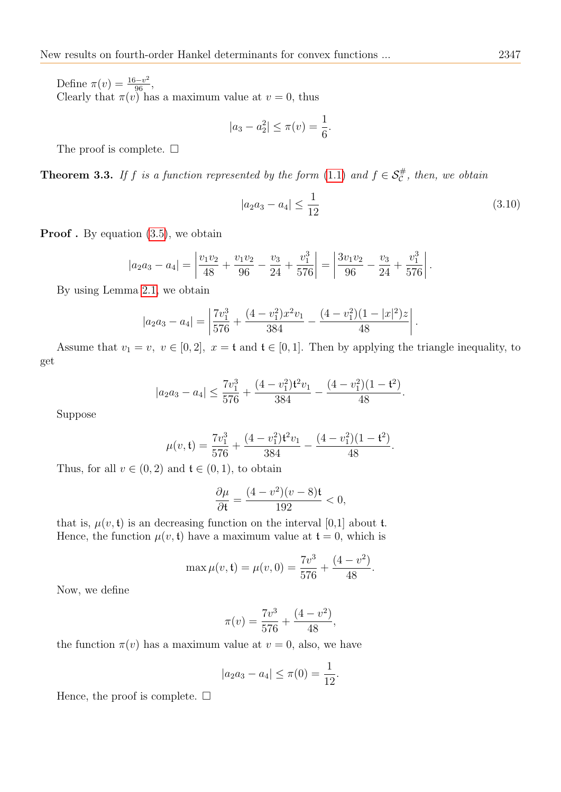Define  $\pi(v) = \frac{16 - v^2}{96}$ , Clearly that  $\pi(v)$  has a maximum value at  $v = 0$ , thus

$$
|a_3 - a_2^2| \le \pi(v) = \frac{1}{6}.
$$

The proof is complete.  $\square$ 

**Theorem 3.3.** If f is a function represented by the form  $(1.1)$  and  $f \in S^{\#}_{\mathcal{C}}$ , then, we obtain

<span id="page-8-0"></span>
$$
|a_2 a_3 - a_4| \le \frac{1}{12} \tag{3.10}
$$

**Proof**. By equation  $(3.5)$ , we obtain

$$
|a_2a_3 - a_4| = \left| \frac{v_1v_2}{48} + \frac{v_1v_2}{96} - \frac{v_3}{24} + \frac{v_1^3}{576} \right| = \left| \frac{3v_1v_2}{96} - \frac{v_3}{24} + \frac{v_1^3}{576} \right|.
$$

By using Lemma [2.1,](#page-2-2) we obtain

$$
|a_2a_3 - a_4| = \left| \frac{7v_1^3}{576} + \frac{(4 - v_1^2)x^2v_1}{384} - \frac{(4 - v_1^2)(1 - |x|^2)z}{48} \right|.
$$

Assume that  $v_1 = v$ ,  $v \in [0, 2]$ ,  $x = \mathfrak{t}$  and  $\mathfrak{t} \in [0, 1]$ . Then by applying the triangle inequality, to get

$$
|a_2a_3 - a_4| \le \frac{7v_1^3}{576} + \frac{(4 - v_1^2)t^2v_1}{384} - \frac{(4 - v_1^2)(1 - t^2)}{48}.
$$

Suppose

$$
\mu(v, \mathbf{t}) = \frac{7v_1^3}{576} + \frac{(4 - v_1^2)\mathbf{t}^2 v_1}{384} - \frac{(4 - v_1^2)(1 - \mathbf{t}^2)}{48}.
$$

Thus, for all  $v \in (0, 2)$  and  $\mathfrak{t} \in (0, 1)$ , to obtain

$$
\frac{\partial \mu}{\partial \mathfrak{t}} = \frac{(4 - v^2)(v - 8)\mathfrak{t}}{192} < 0,
$$

that is,  $\mu(v, t)$  is an decreasing function on the interval [0,1] about t. Hence, the function  $\mu(v, \mathbf{t})$  have a maximum value at  $\mathbf{t} = 0$ , which is

$$
\max \mu(v, \mathbf{t}) = \mu(v, 0) = \frac{7v^3}{576} + \frac{(4 - v^2)}{48}.
$$

Now, we define

$$
\pi(v) = \frac{7v^3}{576} + \frac{(4 - v^2)}{48},
$$

the function  $\pi(v)$  has a maximum value at  $v = 0$ , also, we have

$$
|a_2 a_3 - a_4| \le \pi(0) = \frac{1}{12}.
$$

Hence, the proof is complete.  $\square$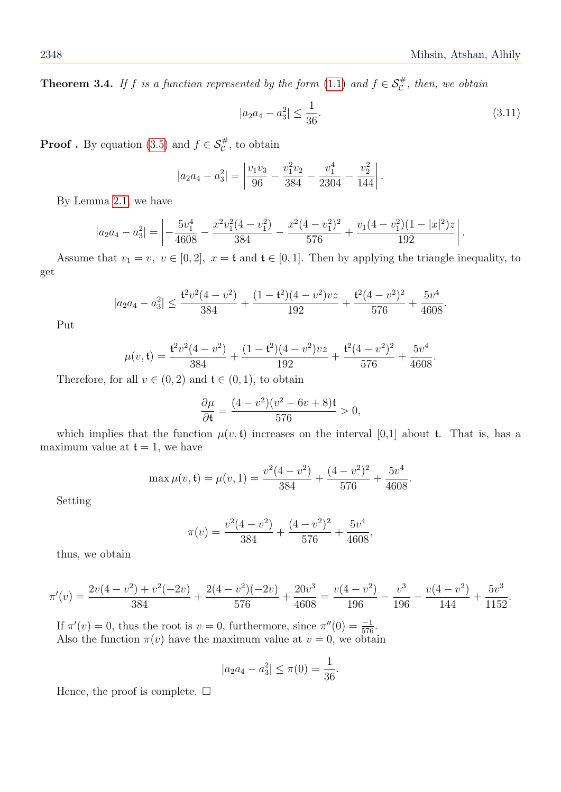**Theorem 3.4.** If f is a function represented by the form [\(1.1\)](#page-0-0) and  $f \in S_c^{\#}$ , then, we obtain

<span id="page-9-0"></span>
$$
|a_2 a_4 - a_3^2| \le \frac{1}{36}.\tag{3.11}
$$

**Proof**. By equation [\(3.5\)](#page-4-0) and  $f \in \mathcal{S}_{\mathcal{C}}^{\#}$ , to obtain

$$
|a_2a_4 - a_3^2| = \left| \frac{v_1v_3}{96} - \frac{v_1^2v_2}{384} - \frac{v_1^4}{2304} - \frac{v_2^2}{144} \right|.
$$

By Lemma [2.1,](#page-2-2) we have

$$
|a_2a_4-a_3^2| = \left| -\frac{5v_1^4}{4608} - \frac{x^2v_1^2(4-v_1^2)}{384} - \frac{x^2(4-v_1^2)^2}{576} + \frac{v_1(4-v_1^2)(1-|x|^2)z}{192} \right|.
$$

Assume that  $v_1 = v$ ,  $v \in [0, 2]$ ,  $x = \mathfrak{t}$  and  $\mathfrak{t} \in [0, 1]$ . Then by applying the triangle inequality, to get

$$
|a_2a_4 - a_3^2| \le \frac{t^2v^2(4-v^2)}{384} + \frac{(1-t^2)(4-v^2)vz}{192} + \frac{t^2(4-v^2)^2}{576} + \frac{5v^4}{4608}.
$$

Put

$$
\mu(v, \mathbf{t}) = \frac{\mathbf{t}^2 v^2 (4 - v^2)}{384} + \frac{(1 - \mathbf{t}^2)(4 - v^2) v z}{192} + \frac{\mathbf{t}^2 (4 - v^2)^2}{576} + \frac{5v^4}{4608}.
$$

Therefore, for all  $v \in (0, 2)$  and  $\mathfrak{t} \in (0, 1)$ , to obtain

$$
\frac{\partial \mu}{\partial t} = \frac{(4 - v^2)(v^2 - 6v + 8)t}{576} > 0,
$$

which implies that the function  $\mu(v, t)$  increases on the interval [0,1] about t. That is, has a maximum value at  $t = 1$ , we have

$$
\max \mu(v, \mathbf{t}) = \mu(v, 1) = \frac{v^2(4 - v^2)}{384} + \frac{(4 - v^2)^2}{576} + \frac{5v^4}{4608}.
$$

Setting

$$
\pi(v) = \frac{v^2(4 - v^2)}{384} + \frac{(4 - v^2)^2}{576} + \frac{5v^4}{4608},
$$

thus, we obtain

$$
\pi'(v) = \frac{2v(4-v^2) + v^2(-2v)}{384} + \frac{2(4-v^2)(-2v)}{576} + \frac{20v^3}{4608} = \frac{v(4-v^2)}{196} - \frac{v^3}{196} - \frac{v(4-v^2)}{144} + \frac{5v^3}{1152}.
$$

If  $\pi'(v) = 0$ , thus the root is  $v = 0$ , furthermore, since  $\pi''(0) = \frac{-1}{576}$ . Also the function  $\pi(v)$  have the maximum value at  $v = 0$ , we obtain

$$
|a_2 a_4 - a_3^2| \le \pi(0) = \frac{1}{36}
$$

.

Hence, the proof is complete.  $\square$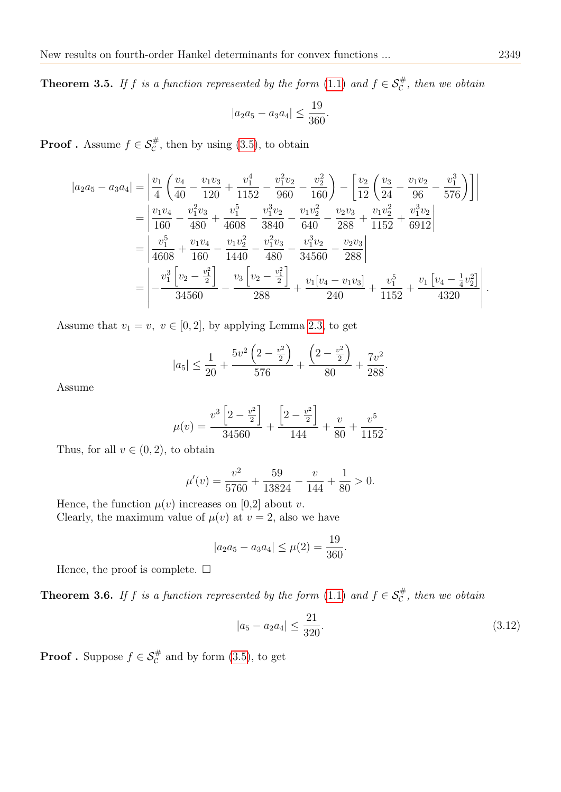**Theorem 3.5.** If f is a function represented by the form [\(1.1\)](#page-0-0) and  $f \in S_c^{\#}$ , then we obtain

$$
|a_2a_5 - a_3a_4| \le \frac{19}{360}.
$$

**Proof**. Assume  $f \in \mathcal{S}_{\mathcal{C}}^{\#}$ , then by using [\(3.5\)](#page-4-0), to obtain

$$
|a_2a_5 - a_3a_4| = \left| \frac{v_1}{4} \left( \frac{v_4}{40} - \frac{v_1v_3}{120} + \frac{v_1^4}{1152} - \frac{v_1^2v_2}{960} - \frac{v_2^2}{160} \right) - \left[ \frac{v_2}{12} \left( \frac{v_3}{24} - \frac{v_1v_2}{96} - \frac{v_1^3}{576} \right) \right] \right|
$$
  
\n
$$
= \left| \frac{v_1v_4}{160} - \frac{v_1^2v_3}{480} + \frac{v_1^5}{4608} - \frac{v_1^3v_2}{3840} - \frac{v_1v_2^2}{640} - \frac{v_2v_3}{288} + \frac{v_1v_2^2}{1152} + \frac{v_1^3v_2}{6912} \right|
$$
  
\n
$$
= \left| \frac{v_1^5}{4608} + \frac{v_1v_4}{160} - \frac{v_1v_2^2}{1440} - \frac{v_1^2v_3}{480} - \frac{v_1^3v_2}{34560} - \frac{v_2v_3}{288} \right|
$$
  
\n
$$
= \left| \frac{v_1^3 \left[ v_2 - \frac{v_1^2}{2} \right]}{34560} - \frac{v_3 \left[ v_2 - \frac{v_1^2}{2} \right]}{288} + \frac{v_1 \left[ v_4 - v_1v_3 \right]}{240} + \frac{v_1^5}{1152} + \frac{v_1 \left[ v_4 - \frac{1}{4}v_2^2 \right]}{4320} \right|.
$$

Assume that  $v_1 = v$ ,  $v \in [0, 2]$ , by applying Lemma [2.3,](#page-2-1) to get

$$
|a_5| \le \frac{1}{20} + \frac{5v^2\left(2 - \frac{v^2}{2}\right)}{576} + \frac{\left(2 - \frac{v^2}{2}\right)}{80} + \frac{7v^2}{288}.
$$

Assume

$$
\mu(v) = \frac{v^3 \left[2 - \frac{v^2}{2}\right]}{34560} + \frac{\left[2 - \frac{v^2}{2}\right]}{144} + \frac{v}{80} + \frac{v^5}{1152}.
$$

Thus, for all  $v \in (0, 2)$ , to obtain

$$
\mu'(v) = \frac{v^2}{5760} + \frac{59}{13824} - \frac{v}{144} + \frac{1}{80} > 0.
$$

Hence, the function  $\mu(v)$  increases on [0,2] about v. Clearly, the maximum value of  $\mu(v)$  at  $v = 2$ , also we have

$$
|a_2 a_5 - a_3 a_4| \le \mu(2) = \frac{19}{360}.
$$

Hence, the proof is complete.  $\square$ 

**Theorem 3.6.** If f is a function represented by the form [\(1.1\)](#page-0-0) and  $f \in S_c^{\#}$ , then we obtain

<span id="page-10-0"></span>
$$
|a_5 - a_2 a_4| \le \frac{21}{320}.\tag{3.12}
$$

**Proof**. Suppose  $f \in \mathcal{S}_{\mathcal{C}}^{\#}$  and by form [\(3.5\)](#page-4-0), to get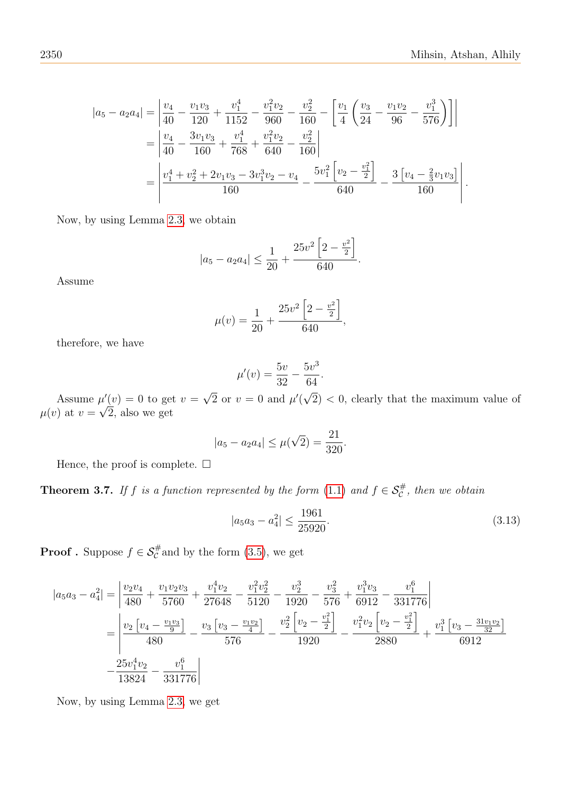$$
|a_5 - a_2 a_4| = \left| \frac{v_4}{40} - \frac{v_1 v_3}{120} + \frac{v_1^4}{1152} - \frac{v_1^2 v_2}{960} - \frac{v_2^2}{160} - \left[ \frac{v_1}{4} \left( \frac{v_3}{24} - \frac{v_1 v_2}{96} - \frac{v_1^3}{576} \right) \right] \right|
$$
  
= 
$$
\left| \frac{v_4}{40} - \frac{3v_1 v_3}{160} + \frac{v_1^4}{768} + \frac{v_1^2 v_2}{640} - \frac{v_2^2}{160} \right|
$$
  
= 
$$
\left| \frac{v_4^4 + v_2^2 + 2v_1 v_3 - 3v_1^3 v_2 - v_4}{160} - \frac{5v_1^2 \left[ v_2 - \frac{v_1^2}{2} \right]}{640} - \frac{3 \left[ v_4 - \frac{2}{3} v_1 v_3 \right]}{160} \right|.
$$

Now, by using Lemma [2.3,](#page-2-1) we obtain

$$
|a_5 - a_2 a_4| \le \frac{1}{20} + \frac{25v^2 \left[2 - \frac{v^2}{2}\right]}{640}.
$$

Assume

$$
\mu(v) = \frac{1}{20} + \frac{25v^2 \left[2 - \frac{v^2}{2}\right]}{640},
$$

therefore, we have

$$
\mu'(v) = \frac{5v}{32} - \frac{5v^3}{64}.
$$

Assume  $\mu'(v) = 0$  to get  $v =$ √  $\overline{2}$  or  $v = 0$  and  $\mu'$ 2) < 0, clearly that the maximum value of  $\mu(v)$  at  $v =$  $^{\mu}$ 2, also we get

$$
|a_5 - a_2 a_4| \le \mu(\sqrt{2}) = \frac{21}{320}.
$$

Hence, the proof is complete.  $\square$ 

**Theorem 3.7.** If f is a function represented by the form [\(1.1\)](#page-0-0) and  $f \in S_c^{\#}$ , then we obtain

<span id="page-11-0"></span>
$$
|a_5a_3 - a_4^2| \le \frac{1961}{25920}.\tag{3.13}
$$

**Proof**. Suppose  $f \in \mathcal{S}_{\mathcal{C}}^{\#}$  and by the form [\(3.5\)](#page-4-0), we get

$$
|a_5a_3 - a_4^2| = \left| \frac{v_2v_4}{480} + \frac{v_1v_2v_3}{5760} + \frac{v_1^4v_2}{27648} - \frac{v_1^2v_2^2}{5120} - \frac{v_2^3}{1920} - \frac{v_3^2}{576} + \frac{v_1^3v_3}{6912} - \frac{v_1^6}{331776} \right|
$$
  
= 
$$
\left| \frac{v_2\left[v_4 - \frac{v_1v_3}{9}\right]}{480} - \frac{v_3\left[v_3 - \frac{v_1v_2}{4}\right]}{576} - \frac{v_2^2\left[v_2 - \frac{v_1^2}{2}\right]}{1920} - \frac{v_1^2v_2\left[v_2 - \frac{v_1^2}{2}\right]}{2880} + \frac{v_1^3\left[v_3 - \frac{31v_1v_2}{32}\right]}{6912} \right|
$$
  
- 
$$
\frac{25v_1^4v_2}{13824} - \frac{v_1^6}{331776} \right|
$$

Now, by using Lemma [2.3,](#page-2-1) we get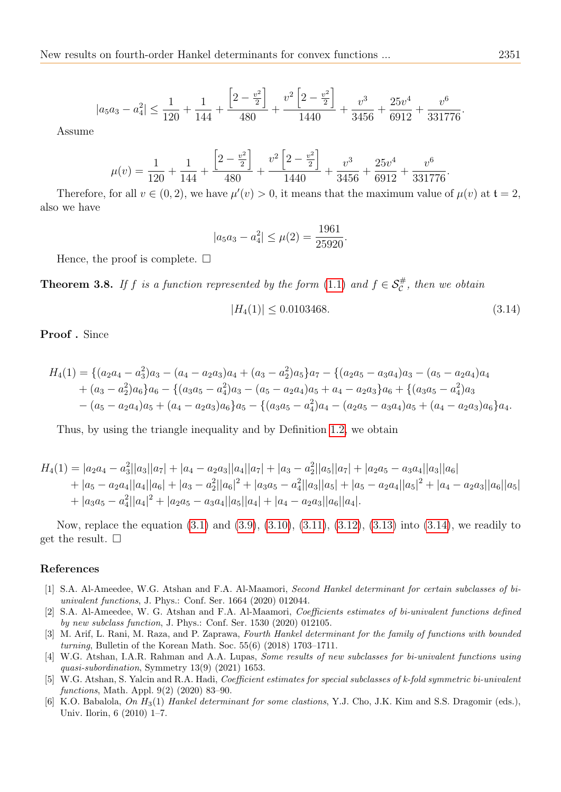$$
|a_5a_3 - a_4^2| \le \frac{1}{120} + \frac{1}{144} + \frac{\left[2 - \frac{v^2}{2}\right]}{480} + \frac{v^2\left[2 - \frac{v^2}{2}\right]}{1440} + \frac{v^3}{3456} + \frac{25v^4}{6912} + \frac{v^6}{331776}.
$$

Assume

$$
\mu(v) = \frac{1}{120} + \frac{1}{144} + \frac{\left[2 - \frac{v^2}{2}\right]}{480} + \frac{v^2\left[2 - \frac{v^2}{2}\right]}{1440} + \frac{v^3}{3456} + \frac{25v^4}{6912} + \frac{v^6}{331776}.
$$

Therefore, for all  $v \in (0, 2)$ , we have  $\mu'(v) > 0$ , it means that the maximum value of  $\mu(v)$  at  $t = 2$ , also we have

$$
|a_5 a_3 - a_4^2| \le \mu(2) = \frac{1961}{25920}
$$

Hence, the proof is complete.  $\square$ 

**Theorem 3.8.** If f is a function represented by the form [\(1.1\)](#page-0-0) and  $f \in S_c^{\#}$ , then we obtain

<span id="page-12-6"></span>
$$
|H_4(1)| \le 0.0103468.\t(3.14)
$$

.

Proof . Since

$$
H_4(1) = \{ (a_2a_4 - a_3^2)a_3 - (a_4 - a_2a_3)a_4 + (a_3 - a_2^2)a_5 \} a_7 - \{ (a_2a_5 - a_3a_4)a_3 - (a_5 - a_2a_4)a_4 + (a_3 - a_2^2)a_6 \} a_6 - \{ (a_3a_5 - a_4^2)a_3 - (a_5 - a_2a_4)a_5 + a_4 - a_2a_3 \} a_6 + \{ (a_3a_5 - a_4^2)a_3 - (a_5 - a_2a_4)a_5 + (a_4 - a_2a_3)a_6 \} a_5 - \{ (a_3a_5 - a_4^2)a_4 - (a_2a_5 - a_3a_4)a_5 + (a_4 - a_2a_3)a_6 \} a_4.
$$

Thus, by using the triangle inequality and by Definition [1.2,](#page-2-3) we obtain

$$
H_4(1) = |a_2a_4 - a_3||a_3||a_7| + |a_4 - a_2a_3||a_4||a_7| + |a_3 - a_2||a_5||a_7| + |a_2a_5 - a_3a_4||a_3||a_6|
$$
  
+  $|a_5 - a_2a_4||a_4||a_6| + |a_3 - a_2||a_6|^2 + |a_3a_5 - a_4||a_3||a_5| + |a_5 - a_2a_4||a_5|^2 + |a_4 - a_2a_3||a_6||a_5|$   
+  $|a_3a_5 - a_4^2||a_4|^2 + |a_2a_5 - a_3a_4||a_5||a_4| + |a_4 - a_2a_3||a_6||a_4|.$ 

Now, replace the equation [\(3.1\)](#page-3-0) and [\(3.9\)](#page-7-0), [\(3.10\)](#page-8-0), [\(3.11\)](#page-9-0), [\(3.12\)](#page-10-0), [\(3.13\)](#page-11-0) into [\(3.14\)](#page-12-6), we readily to get the result.  $\square$ 

#### References

- <span id="page-12-0"></span>[1] S.A. Al-Ameedee, W.G. Atshan and F.A. Al-Maamori, Second Hankel determinant for certain subclasses of biunivalent functions, J. Phys.: Conf. Ser. 1664 (2020) 012044.
- <span id="page-12-1"></span>[2] S.A. Al-Ameedee, W. G. Atshan and F.A. Al-Maamori, Coefficients estimates of bi-univalent functions defined by new subclass function, J. Phys.: Conf. Ser. 1530 (2020) 012105.
- <span id="page-12-5"></span>[3] M. Arif, L. Rani, M. Raza, and P. Zaprawa, Fourth Hankel determinant for the family of functions with bounded turning, Bulletin of the Korean Math. Soc. 55(6) (2018) 1703–1711.
- <span id="page-12-2"></span>[4] W.G. Atshan, I.A.R. Rahman and A.A. Lupas, Some results of new subclasses for bi-univalent functions using quasi-subordination, Symmetry 13(9) (2021) 1653.
- <span id="page-12-3"></span>[5] W.G. Atshan, S. Yalcin and R.A. Hadi, Coefficient estimates for special subclasses of k-fold symmetric bi-univalent functions, Math. Appl. 9(2) (2020) 83–90.
- <span id="page-12-4"></span>[6] K.O. Babalola, On  $H_3(1)$  Hankel determinant for some clastions, Y.J. Cho, J.K. Kim and S.S. Dragomir (eds.), Univ. Ilorin, 6 (2010) 1–7.